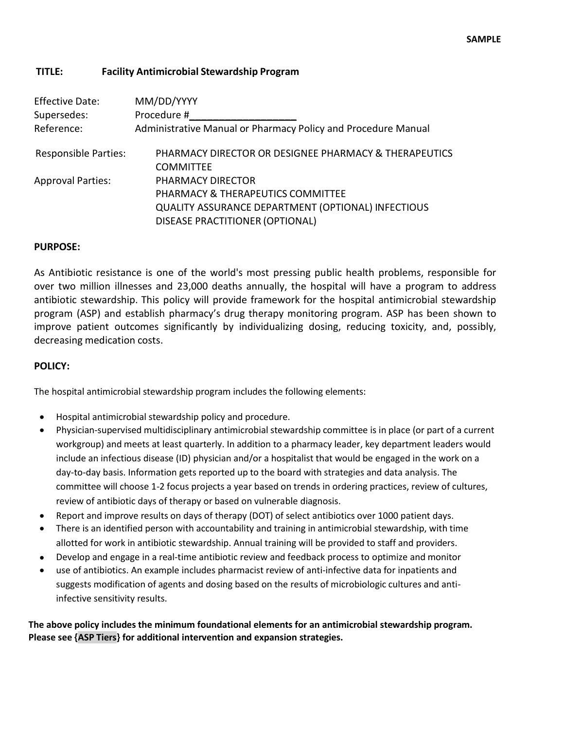## **TITLE: Facility Antimicrobial Stewardship Program**

| <b>Effective Date:</b>      | MM/DD/YYYY                                                    |
|-----------------------------|---------------------------------------------------------------|
| Supersedes:                 | Procedure #                                                   |
| Reference:                  | Administrative Manual or Pharmacy Policy and Procedure Manual |
| <b>Responsible Parties:</b> | PHARMACY DIRECTOR OR DESIGNEE PHARMACY & THERAPEUTICS         |
|                             | <b>COMMITTEE</b>                                              |
| <b>Approval Parties:</b>    | PHARMACY DIRECTOR                                             |
|                             | PHARMACY & THERAPEUTICS COMMITTEE                             |
|                             | <b>QUALITY ASSURANCE DEPARTMENT (OPTIONAL) INFECTIOUS</b>     |
|                             | <b>DISEASE PRACTITIONER (OPTIONAL)</b>                        |
|                             |                                                               |

## **PURPOSE:**

As Antibiotic resistance is one of the world's most pressing public health problems, responsible for over two million illnesses and 23,000 deaths annually, the hospital will have a program to address antibiotic stewardship. This policy will provide framework for the hospital antimicrobial stewardship program (ASP) and establish pharmacy's drug therapy monitoring program. ASP has been shown to improve patient outcomes significantly by individualizing dosing, reducing toxicity, and, possibly, decreasing medication costs.

## **POLICY:**

The hospital antimicrobial stewardship program includes the following elements:

- Hospital antimicrobial stewardship policy and procedure.
- Physician-supervised multidisciplinary antimicrobial stewardship committee is in place (or part of a current workgroup) and meets at least quarterly. In addition to a pharmacy leader, key department leaders would include an infectious disease (ID) physician and/or a hospitalist that would be engaged in the work on a day-to-day basis. Information gets reported up to the board with strategies and data analysis. The committee will choose 1-2 focus projects a year based on trends in ordering practices, review of cultures, review of antibiotic days of therapy or based on vulnerable diagnosis.
- Report and improve results on days of therapy (DOT) of select antibiotics over 1000 patient days.
- There is an identified person with accountability and training in antimicrobial stewardship, with time allotted for work in antibiotic stewardship. Annual training will be provided to staff and providers.
- Develop and engage in a real-time antibiotic review and feedback process to optimize and monitor
- use of antibiotics. An example includes pharmacist review of anti-infective data for inpatients and suggests modification of agents and dosing based on the results of microbiologic cultures and antiinfective sensitivity results.

**The above policy includes the minimum foundational elements for an antimicrobial stewardship program. Please see {ASP Tiers} for additional intervention and expansion strategies.**